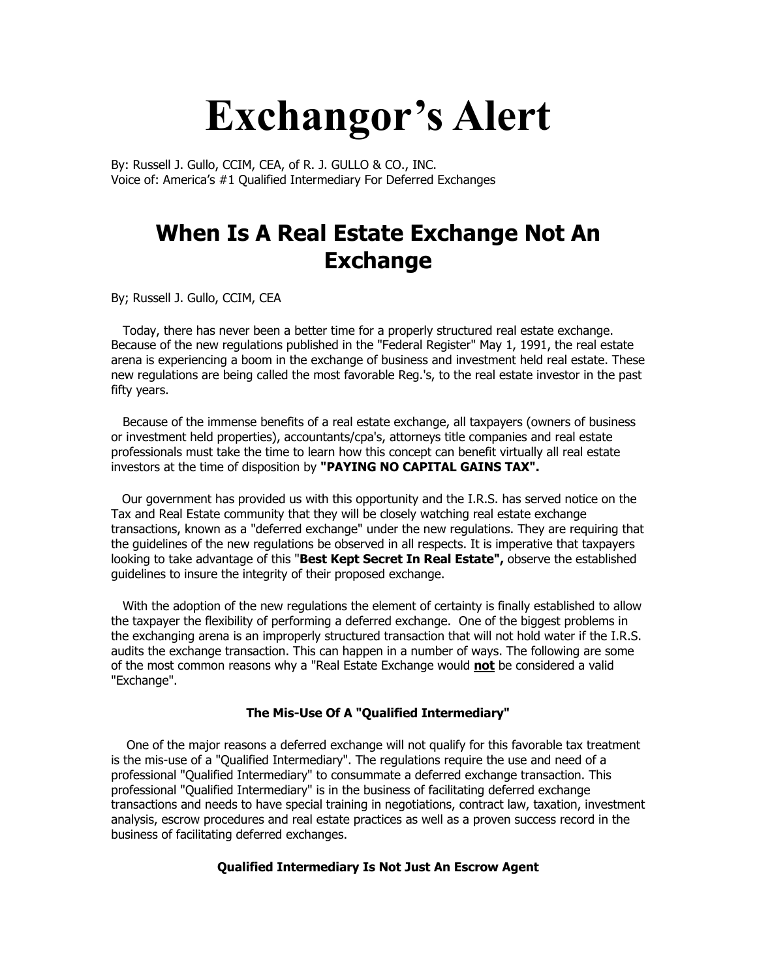## **Exchangor's Alert**

By: Russell J. Gullo, CCIM, CEA, of R. J. GULLO & CO., INC. Voice of: America's #1 Qualified Intermediary For Deferred Exchanges

## **When Is A Real Estate Exchange Not An Exchange**

By; Russell J. Gullo, CCIM, CEA

 Today, there has never been a better time for a properly structured real estate exchange. Because of the new regulations published in the "Federal Register" May 1, 1991, the real estate arena is experiencing a boom in the exchange of business and investment held real estate. These new regulations are being called the most favorable Reg.'s, to the real estate investor in the past fifty years.

 Because of the immense benefits of a real estate exchange, all taxpayers (owners of business or investment held properties), accountants/cpa's, attorneys title companies and real estate professionals must take the time to learn how this concept can benefit virtually all real estate investors at the time of disposition by **"PAYING NO CAPITAL GAINS TAX".**

Our government has provided us with this opportunity and the I.R.S. has served notice on the Tax and Real Estate community that they will be closely watching real estate exchange transactions, known as a "deferred exchange" under the new regulations. They are requiring that the guidelines of the new regulations be observed in all respects. It is imperative that taxpayers looking to take advantage of this "**Best Kept Secret In Real Estate",** observe the established guidelines to insure the integrity of their proposed exchange.

 With the adoption of the new regulations the element of certainty is finally established to allow the taxpayer the flexibility of performing a deferred exchange. One of the biggest problems in the exchanging arena is an improperly structured transaction that will not hold water if the I.R.S. audits the exchange transaction. This can happen in a number of ways. The following are some of the most common reasons why a "Real Estate Exchange would **not** be considered a valid "Exchange".

## **The Mis-Use Of A "Qualified Intermediary"**

 One of the major reasons a deferred exchange will not qualify for this favorable tax treatment is the mis-use of a "Qualified Intermediary". The regulations require the use and need of a professional "Qualified Intermediary" to consummate a deferred exchange transaction. This professional "Qualified Intermediary" is in the business of facilitating deferred exchange transactions and needs to have special training in negotiations, contract law, taxation, investment analysis, escrow procedures and real estate practices as well as a proven success record in the business of facilitating deferred exchanges.

## **Qualified Intermediary Is Not Just An Escrow Agent**